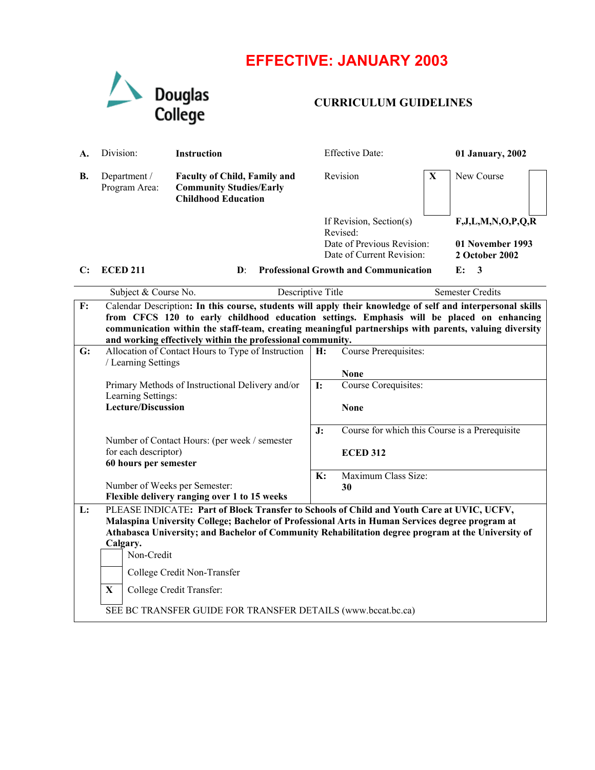## **EFFECTIVE: JANUARY 2003**



## **CURRICULUM GUIDELINES**

| A. | Division:                     | <b>Instruction</b>                                                                                  | <b>Effective Date:</b>                                  |             | 01 January, 2002                   |  |
|----|-------------------------------|-----------------------------------------------------------------------------------------------------|---------------------------------------------------------|-------------|------------------------------------|--|
| В. | Department /<br>Program Area: | <b>Faculty of Child, Family and</b><br><b>Community Studies/Early</b><br><b>Childhood Education</b> | Revision                                                | $\mathbf X$ | New Course                         |  |
|    |                               |                                                                                                     | If Revision, Section(s)<br>Revised:                     |             | F, J, L, M, N, O, P, Q, R          |  |
|    |                               |                                                                                                     | Date of Previous Revision:<br>Date of Current Revision: |             | 01 November 1993<br>2 October 2002 |  |

## **C: ECED 211 D**: **Professional Growth and Communication E: 3**

|    | Descriptive Title<br>Subject & Course No.                                                                                                                                                             |                | <b>Semester Credits</b>                        |  |  |  |
|----|-------------------------------------------------------------------------------------------------------------------------------------------------------------------------------------------------------|----------------|------------------------------------------------|--|--|--|
| F: | Calendar Description: In this course, students will apply their knowledge of self and interpersonal skills                                                                                            |                |                                                |  |  |  |
|    | from CFCS 120 to early childhood education settings. Emphasis will be placed on enhancing                                                                                                             |                |                                                |  |  |  |
|    | communication within the staff-team, creating meaningful partnerships with parents, valuing diversity                                                                                                 |                |                                                |  |  |  |
|    | and working effectively within the professional community.                                                                                                                                            |                |                                                |  |  |  |
| G: | Allocation of Contact Hours to Type of Instruction                                                                                                                                                    | H:             | Course Prerequisites:                          |  |  |  |
|    | / Learning Settings                                                                                                                                                                                   |                |                                                |  |  |  |
|    | Primary Methods of Instructional Delivery and/or                                                                                                                                                      | I:             | <b>None</b><br>Course Corequisites:            |  |  |  |
|    | Learning Settings:                                                                                                                                                                                    |                |                                                |  |  |  |
|    | <b>Lecture/Discussion</b>                                                                                                                                                                             |                | <b>None</b>                                    |  |  |  |
|    |                                                                                                                                                                                                       |                |                                                |  |  |  |
|    |                                                                                                                                                                                                       | J:             | Course for which this Course is a Prerequisite |  |  |  |
|    | Number of Contact Hours: (per week / semester                                                                                                                                                         |                |                                                |  |  |  |
|    | for each descriptor)                                                                                                                                                                                  |                | <b>ECED 312</b>                                |  |  |  |
|    | 60 hours per semester                                                                                                                                                                                 |                |                                                |  |  |  |
|    |                                                                                                                                                                                                       | $\mathbf{K}$ : | Maximum Class Size:                            |  |  |  |
|    | Number of Weeks per Semester:                                                                                                                                                                         |                | 30                                             |  |  |  |
| L: | Flexible delivery ranging over 1 to 15 weeks<br>PLEASE INDICATE: Part of Block Transfer to Schools of Child and Youth Care at UVIC, UCFV,                                                             |                |                                                |  |  |  |
|    |                                                                                                                                                                                                       |                |                                                |  |  |  |
|    | Malaspina University College; Bachelor of Professional Arts in Human Services degree program at<br>Athabasca University; and Bachelor of Community Rehabilitation degree program at the University of |                |                                                |  |  |  |
|    | Calgary.                                                                                                                                                                                              |                |                                                |  |  |  |
|    | Non-Credit                                                                                                                                                                                            |                |                                                |  |  |  |
|    |                                                                                                                                                                                                       |                |                                                |  |  |  |
|    | College Credit Non-Transfer                                                                                                                                                                           |                |                                                |  |  |  |
|    | $\mathbf X$<br>College Credit Transfer:                                                                                                                                                               |                |                                                |  |  |  |
|    | SEE BC TRANSFER GUIDE FOR TRANSFER DETAILS (www.bccat.bc.ca)                                                                                                                                          |                |                                                |  |  |  |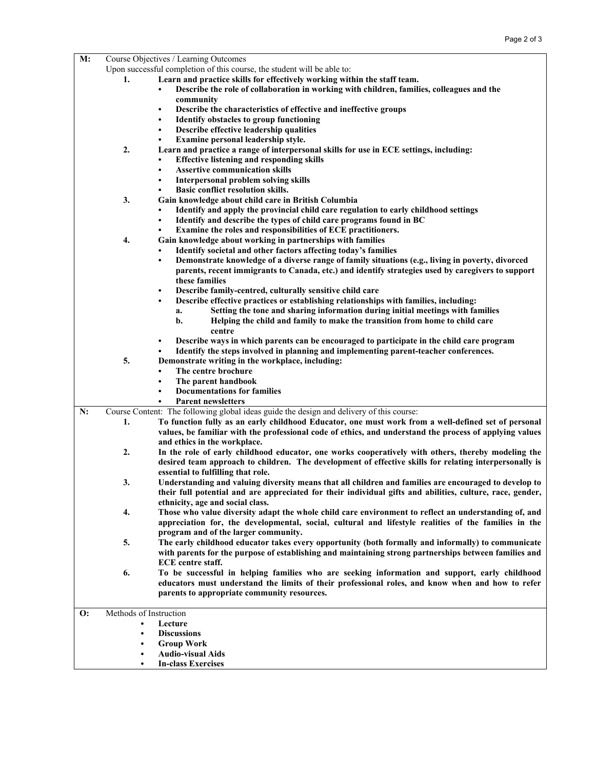| M: | Course Objectives / Learning Outcomes                                   |                                                                                                           |  |  |
|----|-------------------------------------------------------------------------|-----------------------------------------------------------------------------------------------------------|--|--|
|    | Upon successful completion of this course, the student will be able to: |                                                                                                           |  |  |
|    | 1.                                                                      | Learn and practice skills for effectively working within the staff team.                                  |  |  |
|    |                                                                         | Describe the role of collaboration in working with children, families, colleagues and the<br>$\bullet$    |  |  |
|    |                                                                         | community                                                                                                 |  |  |
|    |                                                                         | Describe the characteristics of effective and ineffective groups<br>$\bullet$                             |  |  |
|    |                                                                         | Identify obstacles to group functioning<br>٠                                                              |  |  |
|    |                                                                         | Describe effective leadership qualities<br>$\bullet$                                                      |  |  |
|    |                                                                         | Examine personal leadership style.                                                                        |  |  |
|    | 2.                                                                      | Learn and practice a range of interpersonal skills for use in ECE settings, including:                    |  |  |
|    |                                                                         | <b>Effective listening and responding skills</b><br>٠                                                     |  |  |
|    |                                                                         | <b>Assertive communication skills</b><br>٠                                                                |  |  |
|    |                                                                         | Interpersonal problem solving skills<br>$\bullet$                                                         |  |  |
|    |                                                                         | Basic conflict resolution skills.<br>٠                                                                    |  |  |
|    | 3.                                                                      | Gain knowledge about child care in British Columbia                                                       |  |  |
|    |                                                                         | Identify and apply the provincial child care regulation to early childhood settings<br>٠                  |  |  |
|    |                                                                         | Identify and describe the types of child care programs found in BC<br>٠                                   |  |  |
|    |                                                                         | Examine the roles and responsibilities of ECE practitioners.                                              |  |  |
|    | 4.                                                                      | Gain knowledge about working in partnerships with families                                                |  |  |
|    |                                                                         | Identify societal and other factors affecting today's families                                            |  |  |
|    |                                                                         | Demonstrate knowledge of a diverse range of family situations (e.g., living in poverty, divorced<br>٠     |  |  |
|    |                                                                         | parents, recent immigrants to Canada, etc.) and identify strategies used by caregivers to support         |  |  |
|    |                                                                         | these families                                                                                            |  |  |
|    |                                                                         | Describe family-centred, culturally sensitive child care<br>$\bullet$                                     |  |  |
|    |                                                                         | Describe effective practices or establishing relationships with families, including:<br>٠                 |  |  |
|    |                                                                         | Setting the tone and sharing information during initial meetings with families<br>a.                      |  |  |
|    |                                                                         | b.<br>Helping the child and family to make the transition from home to child care                         |  |  |
|    |                                                                         | centre                                                                                                    |  |  |
|    |                                                                         | Describe ways in which parents can be encouraged to participate in the child care program<br>$\bullet$    |  |  |
|    |                                                                         | Identify the steps involved in planning and implementing parent-teacher conferences.                      |  |  |
|    | 5.                                                                      | Demonstrate writing in the workplace, including:                                                          |  |  |
|    |                                                                         | The centre brochure<br>٠                                                                                  |  |  |
|    |                                                                         | The parent handbook<br>٠                                                                                  |  |  |
|    |                                                                         | <b>Documentations for families</b>                                                                        |  |  |
|    |                                                                         | <b>Parent newsletters</b>                                                                                 |  |  |
| N: |                                                                         | Course Content: The following global ideas guide the design and delivery of this course:                  |  |  |
|    | 1.                                                                      | To function fully as an early childhood Educator, one must work from a well-defined set of personal       |  |  |
|    |                                                                         | values, be familiar with the professional code of ethics, and understand the process of applying values   |  |  |
|    |                                                                         | and ethics in the workplace.                                                                              |  |  |
|    | 2.                                                                      | In the role of early childhood educator, one works cooperatively with others, thereby modeling the        |  |  |
|    |                                                                         | desired team approach to children. The development of effective skills for relating interpersonally is    |  |  |
|    |                                                                         | essential to fulfilling that role.                                                                        |  |  |
|    | 3.                                                                      | Understanding and valuing diversity means that all children and families are encouraged to develop to     |  |  |
|    |                                                                         | their full potential and are appreciated for their individual gifts and abilities, culture, race, gender, |  |  |
|    |                                                                         | ethnicity, age and social class.                                                                          |  |  |
|    | 4.                                                                      | Those who value diversity adapt the whole child care environment to reflect an understanding of, and      |  |  |
|    |                                                                         | appreciation for, the developmental, social, cultural and lifestyle realities of the families in the      |  |  |
|    |                                                                         | program and of the larger community.                                                                      |  |  |
|    | 5.                                                                      | The early childhood educator takes every opportunity (both formally and informally) to communicate        |  |  |
|    |                                                                         | with parents for the purpose of establishing and maintaining strong partnerships between families and     |  |  |
|    |                                                                         | <b>ECE</b> centre staff.                                                                                  |  |  |
|    | 6.                                                                      | To be successful in helping families who are seeking information and support, early childhood             |  |  |
|    |                                                                         | educators must understand the limits of their professional roles, and know when and how to refer          |  |  |
|    |                                                                         | parents to appropriate community resources.                                                               |  |  |
|    |                                                                         |                                                                                                           |  |  |
| О: | Methods of Instruction                                                  |                                                                                                           |  |  |
|    | $\bullet$                                                               | Lecture                                                                                                   |  |  |
|    | ٠                                                                       | <b>Discussions</b>                                                                                        |  |  |
|    | ٠                                                                       | <b>Group Work</b>                                                                                         |  |  |
|    | ٠                                                                       | <b>Audio-visual Aids</b>                                                                                  |  |  |
|    | $\bullet$                                                               | <b>In-class Exercises</b>                                                                                 |  |  |